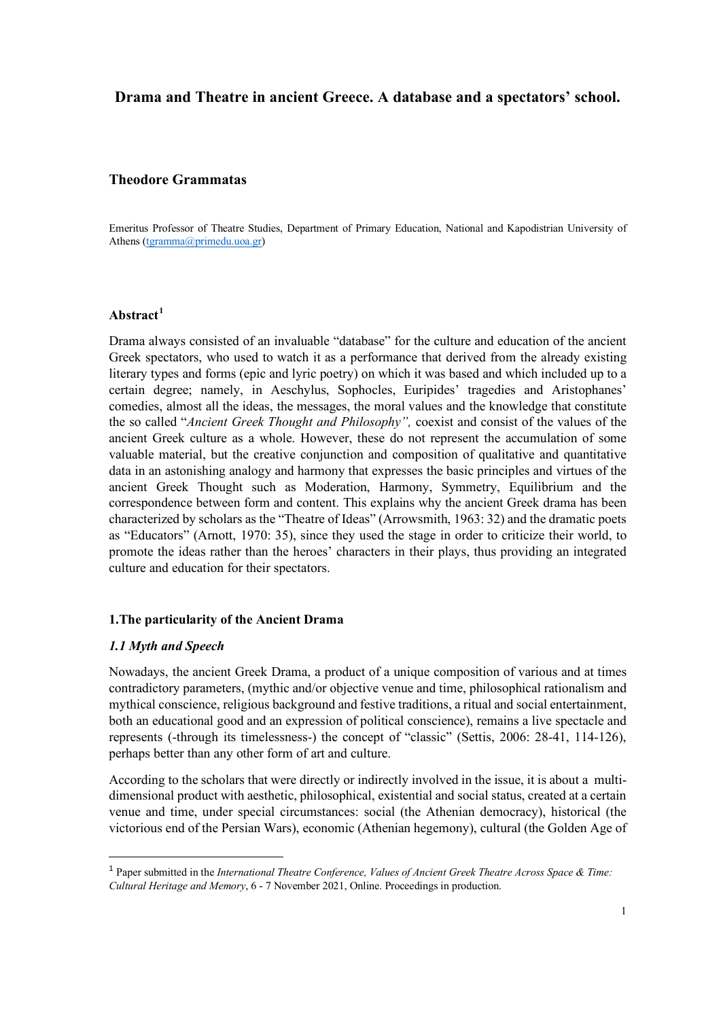# **Drama and Theatre in ancient Greece. A database and a spectators' school.**

## **Theodore Grammatas**

Emeritus Professor of Theatre Studies, Department of Primary Education, National and Kapodistrian University of Athens [\(tgramma@primedu.uoa.gr\)](mailto:tgramma@primedu.uoa.gr)

## **Abstract[1](#page-0-0)**

Drama always consisted of an invaluable "database" for the culture and education of the ancient Greek spectators, who used to watch it as a performance that derived from the already existing literary types and forms (epic and lyric poetry) on which it was based and which included up to a certain degree; namely, in Aeschylus, Sophocles, Euripides' tragedies and Aristophanes' comedies, almost all the ideas, the messages, the moral values and the knowledge that constitute the so called "*Ancient Greek Thought and Philosophy",* coexist and consist of the values of the ancient Greek culture as a whole. However, these do not represent the accumulation of some valuable material, but the creative conjunction and composition of qualitative and quantitative data in an astonishing analogy and harmony that expresses the basic principles and virtues of the ancient Greek Thought such as Moderation, Harmony, Symmetry, Equilibrium and the correspondence between form and content. This explains why the ancient Greek drama has been characterized by scholars as the "Theatre of Ideas" (Arrowsmith, 1963: 32) and the dramatic poets as "Educators" (Arnott, 1970: 35), since they used the stage in order to criticize their world, to promote the ideas rather than the heroes' characters in their plays, thus providing an integrated culture and education for their spectators.

### **1.The particularity of the Ancient Drama**

### *1.1 Myth and Speech*

Nowadays, the ancient Greek Drama, a product of a unique composition of various and at times contradictory parameters, (mythic and/or objective venue and time, philosophical rationalism and mythical conscience, religious background and festive traditions, a ritual and social entertainment, both an educational good and an expression of political conscience), remains a live spectacle and represents (-through its timelessness-) the concept of "classic" (Settis, 2006: 28-41, 114-126), perhaps better than any other form of art and culture.

According to the scholars that were directly or indirectly involved in the issue, it is about a multidimensional product with aesthetic, philosophical, existential and social status, created at a certain venue and time, under special circumstances: social (the Athenian democracy), historical (the victorious end of the Persian Wars), economic (Athenian hegemony), cultural (the Golden Age of

<span id="page-0-0"></span><sup>1</sup> Paper submitted in the *International Theatre Conference, Values of Ancient Greek Theatre Across Space & Time: Cultural Heritage and Memory*, 6 - 7 November 2021, Online. Proceedings in production.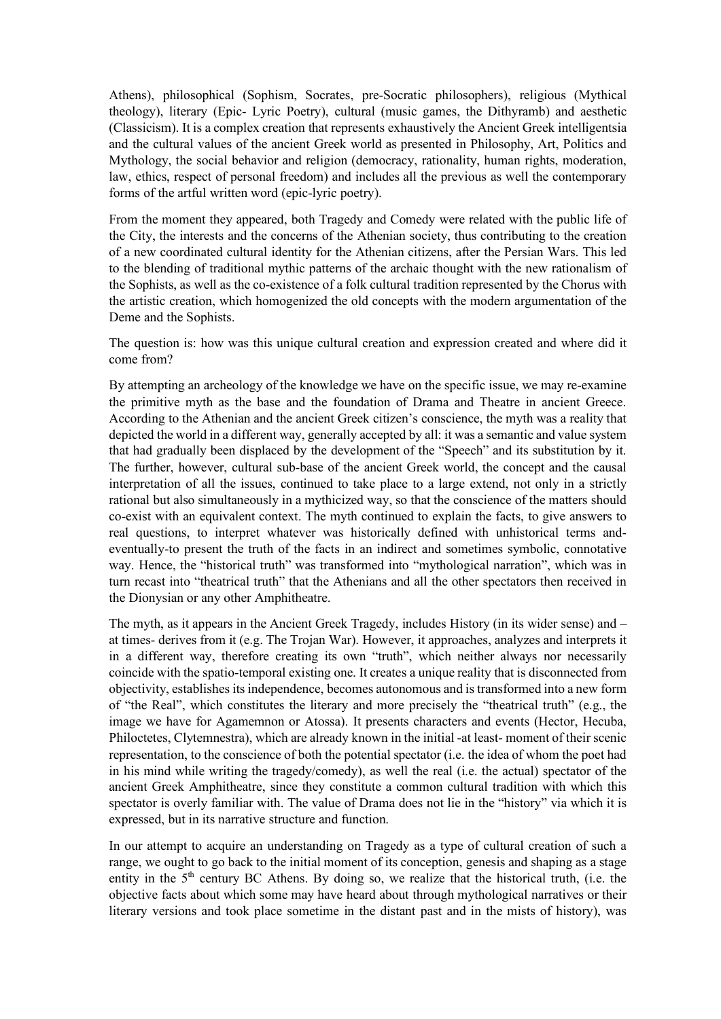Athens), philosophical (Sophism, Socrates, pre-Socratic philosophers), religious (Mythical theology), literary (Epic- Lyric Poetry), cultural (music games, the Dithyramb) and aesthetic (Classicism). It is a complex creation that represents exhaustively the Ancient Greek intelligentsia and the cultural values of the ancient Greek world as presented in Philosophy, Art, Politics and Mythology, the social behavior and religion (democracy, rationality, human rights, moderation, law, ethics, respect of personal freedom) and includes all the previous as well the contemporary forms of the artful written word (epic-lyric poetry).

From the moment they appeared, both Tragedy and Comedy were related with the public life of the City, the interests and the concerns of the Athenian society, thus contributing to the creation of a new coordinated cultural identity for the Athenian citizens, after the Persian Wars. This led to the blending of traditional mythic patterns of the archaic thought with the new rationalism of the Sophists, as well as the co-existence of a folk cultural tradition represented by the Chorus with the artistic creation, which homogenized the old concepts with the modern argumentation of the Deme and the Sophists.

The question is: how was this unique cultural creation and expression created and where did it come from?

By attempting an archeology of the knowledge we have on the specific issue, we may re-examine the primitive myth as the base and the foundation of Drama and Theatre in ancient Greece. According to the Athenian and the ancient Greek citizen's conscience, the myth was a reality that depicted the world in a different way, generally accepted by all: it was a semantic and value system that had gradually been displaced by the development of the "Speech" and its substitution by it. The further, however, cultural sub-base of the ancient Greek world, the concept and the causal interpretation of all the issues, continued to take place to a large extend, not only in a strictly rational but also simultaneously in a mythicized way, so that the conscience of the matters should co-exist with an equivalent context. The myth continued to explain the facts, to give answers to real questions, to interpret whatever was historically defined with unhistorical terms andeventually-to present the truth of the facts in an indirect and sometimes symbolic, connotative way. Hence, the "historical truth" was transformed into "mythological narration", which was in turn recast into "theatrical truth" that the Athenians and all the other spectators then received in the Dionysian or any other Amphitheatre.

The myth, as it appears in the Ancient Greek Tragedy, includes History (in its wider sense) and – at times- derives from it (e.g. The Trojan War). However, it approaches, analyzes and interprets it in a different way, therefore creating its own "truth", which neither always nor necessarily coincide with the spatio-temporal existing one. It creates a unique reality that is disconnected from objectivity, establishes its independence, becomes autonomous and is transformed into a new form of "the Real", which constitutes the literary and more precisely the "theatrical truth" (e.g., the image we have for Agamemnon or Atossa). It presents characters and events (Hector, Hecuba, Philoctetes, Clytemnestra), which are already known in the initial -at least- moment of their scenic representation, to the conscience of both the potential spectator (i.e. the idea of whom the poet had in his mind while writing the tragedy/comedy), as well the real (i.e. the actual) spectator of the ancient Greek Amphitheatre, since they constitute a common cultural tradition with which this spectator is overly familiar with. The value of Drama does not lie in the "history" via which it is expressed, but in its narrative structure and function.

In our attempt to acquire an understanding on Tragedy as a type of cultural creation of such a range, we ought to go back to the initial moment of its conception, genesis and shaping as a stage entity in the  $5<sup>th</sup>$  century BC Athens. By doing so, we realize that the historical truth, (i.e. the objective facts about which some may have heard about through mythological narratives or their literary versions and took place sometime in the distant past and in the mists of history), was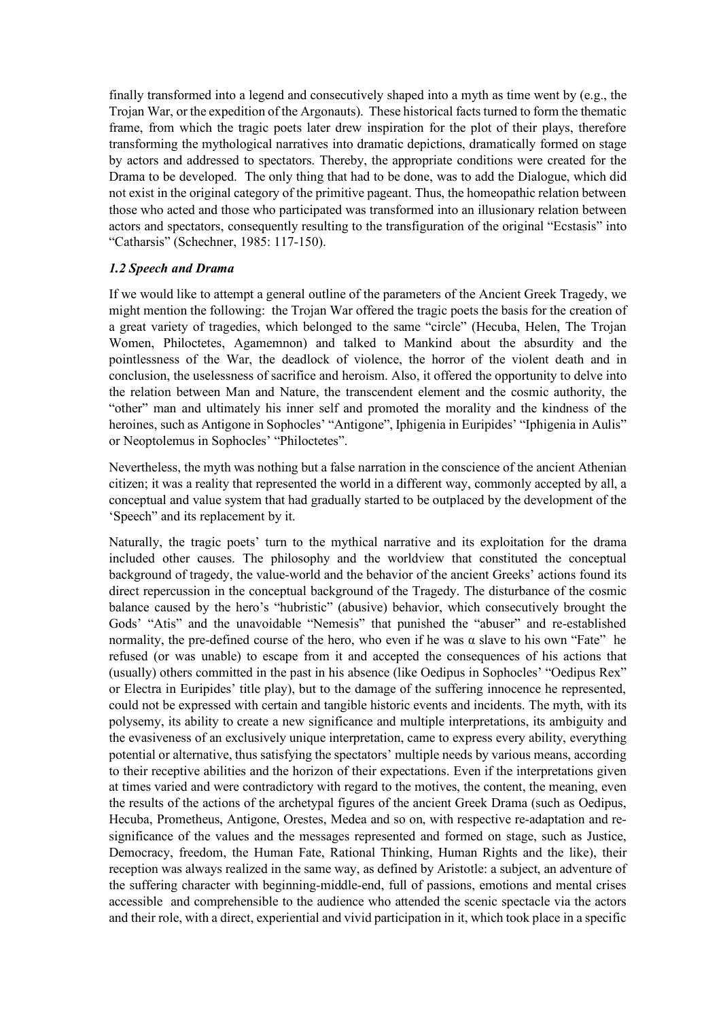finally transformed into a legend and consecutively shaped into a myth as time went by (e.g., the Trojan War, or the expedition of the Argonauts). These historical facts turned to form the thematic frame, from which the tragic poets later drew inspiration for the plot of their plays, therefore transforming the mythological narratives into dramatic depictions, dramatically formed on stage by actors and addressed to spectators. Thereby, the appropriate conditions were created for the Drama to be developed. The only thing that had to be done, was to add the Dialogue, which did not exist in the original category of the primitive pageant. Thus, the homeopathic relation between those who acted and those who participated was transformed into an illusionary relation between actors and spectators, consequently resulting to the transfiguration of the original "Ecstasis" into "Catharsis" (Schechner, 1985: 117-150).

## *1.2 Speech and Drama*

If we would like to attempt a general outline of the parameters of the Ancient Greek Tragedy, we might mention the following: the Trojan War offered the tragic poets the basis for the creation of a great variety of tragedies, which belonged to the same "circle" (Hecuba, Helen, The Trojan Women, Philoctetes, Agamemnon) and talked to Mankind about the absurdity and the pointlessness of the War, the deadlock of violence, the horror of the violent death and in conclusion, the uselessness of sacrifice and heroism. Also, it offered the opportunity to delve into the relation between Man and Nature, the transcendent element and the cosmic authority, the "other" man and ultimately his inner self and promoted the morality and the kindness of the heroines, such as Antigone in Sophocles' "Antigone", Iphigenia in Euripides' "Iphigenia in Aulis" or Neoptolemus in Sophocles' "Philoctetes".

Nevertheless, the myth was nothing but a false narration in the conscience of the ancient Athenian citizen; it was a reality that represented the world in a different way, commonly accepted by all, a conceptual and value system that had gradually started to be outplaced by the development of the 'Speech" and its replacement by it.

Naturally, the tragic poets' turn to the mythical narrative and its exploitation for the drama included other causes. The philosophy and the worldview that constituted the conceptual background of tragedy, the value-world and the behavior of the ancient Greeks' actions found its direct repercussion in the conceptual background of the Tragedy. The disturbance of the cosmic balance caused by the hero's "hubristic" (abusive) behavior, which consecutively brought the Gods' "Atis" and the unavoidable "Nemesis" that punished the "abuser" and re-established normality, the pre-defined course of the hero, who even if he was  $\alpha$  slave to his own "Fate" he refused (or was unable) to escape from it and accepted the consequences of his actions that (usually) others committed in the past in his absence (like Oedipus in Sophocles' "Oedipus Rex" or Electra in Euripides' title play), but to the damage of the suffering innocence he represented, could not be expressed with certain and tangible historic events and incidents. The myth, with its polysemy, its ability to create a new significance and multiple interpretations, its ambiguity and the evasiveness of an exclusively unique interpretation, came to express every ability, everything potential or alternative, thus satisfying the spectators' multiple needs by various means, according to their receptive abilities and the horizon of their expectations. Even if the interpretations given at times varied and were contradictory with regard to the motives, the content, the meaning, even the results of the actions of the archetypal figures of the ancient Greek Drama (such as Oedipus, Hecuba, Prometheus, Antigone, Orestes, Medea and so on, with respective re-adaptation and resignificance of the values and the messages represented and formed on stage, such as Justice, Democracy, freedom, the Human Fate, Rational Thinking, Human Rights and the like), their reception was always realized in the same way, as defined by Aristotle: a subject, an adventure of the suffering character with beginning-middle-end, full of passions, emotions and mental crises accessible and comprehensible to the audience who attended the scenic spectacle via the actors and their role, with a direct, experiential and vivid participation in it, which took place in a specific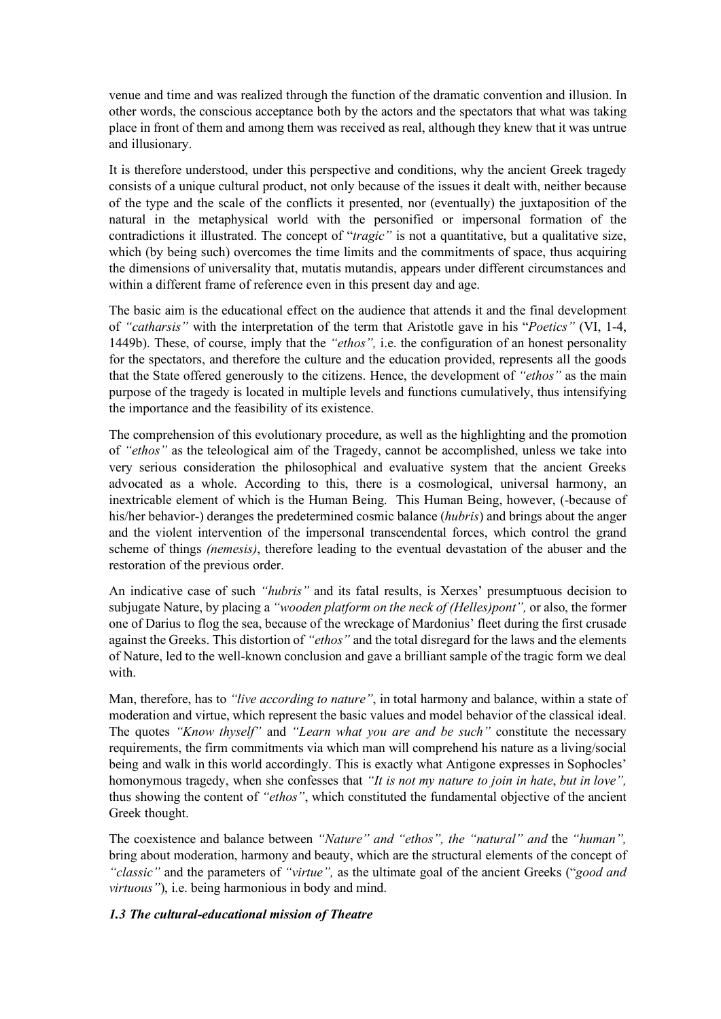venue and time and was realized through the function of the dramatic convention and illusion. In other words, the conscious acceptance both by the actors and the spectators that what was taking place in front of them and among them was received as real, although they knew that it was untrue and illusionary.

It is therefore understood, under this perspective and conditions, why the ancient Greek tragedy consists of a unique cultural product, not only because of the issues it dealt with, neither because of the type and the scale of the conflicts it presented, nor (eventually) the juxtaposition of the natural in the metaphysical world with the personified or impersonal formation of the contradictions it illustrated. The concept of "*tragic"* is not a quantitative, but a qualitative size, which (by being such) overcomes the time limits and the commitments of space, thus acquiring the dimensions of universality that, mutatis mutandis, appears under different circumstances and within a different frame of reference even in this present day and age.

The basic aim is the educational effect on the audience that attends it and the final development of *"catharsis"* with the interpretation of the term that Aristotle gave in his "*Poetics"* (VI, 1-4, 1449b). These, of course, imply that the *"ethos",* i.e. the configuration of an honest personality for the spectators, and therefore the culture and the education provided, represents all the goods that the State offered generously to the citizens. Hence, the development of *"ethos"* as the main purpose of the tragedy is located in multiple levels and functions cumulatively, thus intensifying the importance and the feasibility of its existence.

The comprehension of this evolutionary procedure, as well as the highlighting and the promotion of *"ethos"* as the teleological aim of the Tragedy, cannot be accomplished, unless we take into very serious consideration the philosophical and evaluative system that the ancient Greeks advocated as a whole. According to this, there is a cosmological, universal harmony, an inextricable element of which is the Human Being. This Human Being, however, (-because of his/her behavior-) deranges the predetermined cosmic balance (*hubris*) and brings about the anger and the violent intervention of the impersonal transcendental forces, which control the grand scheme of things *(nemesis)*, therefore leading to the eventual devastation of the abuser and the restoration of the previous order.

An indicative case of such *"hubris"* and its fatal results, is Xerxes' presumptuous decision to subjugate Nature, by placing a *"wooden platform on the neck of (Helles)pont",* or also, the former one of Darius to flog the sea, because of the wreckage of Mardonius' fleet during the first crusade against the Greeks. This distortion of *"ethos"* and the total disregard for the laws and the elements of Nature, led to the well-known conclusion and gave a brilliant sample of the tragic form we deal with.

Man, therefore, has to *"live according to nature"*, in total harmony and balance, within a state of moderation and virtue, which represent the basic values and model behavior of the classical ideal. The quotes *"Know thyself"* and *"Learn what you are and be such"* constitute the necessary requirements, the firm commitments via which man will comprehend his nature as a living/social being and walk in this world accordingly. This is exactly what Antigone expresses in Sophocles' homonymous tragedy, when she confesses that *"It is not my nature to join in hate*, *but in love",*  thus showing the content of *"ethos"*, which constituted the fundamental objective of the ancient Greek thought.

The coexistence and balance between *"Nature" and "ethos", the "natural" and* the *"human",*  bring about moderation, harmony and beauty, which are the structural elements of the concept of *"classic"* and the parameters of *"virtue",* as the ultimate goal of the ancient Greeks ("*good and virtuous"*), i.e. being harmonious in body and mind.

### *1.3 The cultural-educational mission of Theatre*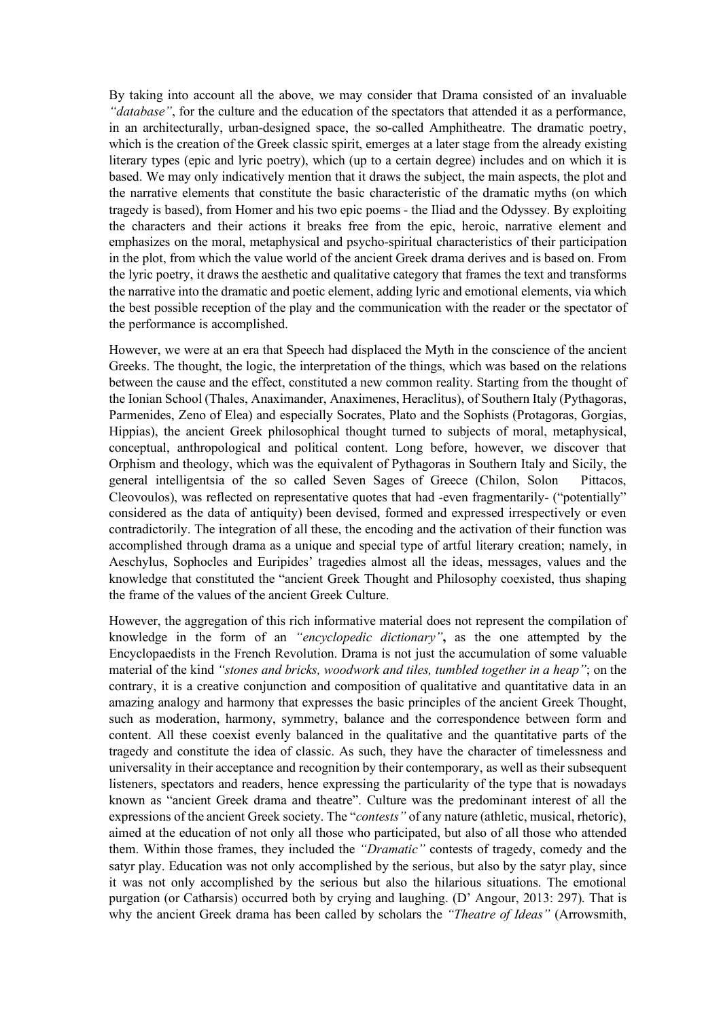By taking into account all the above, we may consider that Drama consisted of an invaluable *"database"*, for the culture and the education of the spectators that attended it as a performance, in an architecturally, urban-designed space, the so-called Amphitheatre. The dramatic poetry, which is the creation of the Greek classic spirit, emerges at a later stage from the already existing literary types (epic and lyric poetry), which (up to a certain degree) includes and on which it is based. We may only indicatively mention that it draws the subject, the main aspects, the plot and the narrative elements that constitute the basic characteristic of the dramatic myths (on which tragedy is based), from Homer and his two epic poems - the Iliad and the Odyssey. By exploiting the characters and their actions it breaks free from the epic, heroic, narrative element and emphasizes on the moral, metaphysical and psycho-spiritual characteristics of their participation in the plot, from which the value world of the ancient Greek drama derives and is based on. From the lyric poetry, it draws the aesthetic and qualitative category that frames the text and transforms the narrative into the dramatic and poetic element, adding lyric and emotional elements, via which the best possible reception of the play and the communication with the reader or the spectator of the performance is accomplished.

However, we were at an era that Speech had displaced the Myth in the conscience of the ancient Greeks. The thought, the logic, the interpretation of the things, which was based on the relations between the cause and the effect, constituted a new common reality. Starting from the thought of the Ionian School (Thales, Anaximander, Anaximenes, Heraclitus), of Southern Italy (Pythagoras, Parmenides, Zeno of Elea) and especially Socrates, Plato and the Sophists (Protagoras, Gorgias, Hippias), the ancient Greek philosophical thought turned to subjects of moral, metaphysical, conceptual, anthropological and political content. Long before, however, we discover that Orphism and theology, which was the equivalent of Pythagoras in Southern Italy and Sicily, the general intelligentsia of the so called Seven Sages of Greece (Chilon, Solon Pittacos, Cleovoulos), was reflected on representative quotes that had -even fragmentarily- ("potentially" considered as the data of antiquity) been devised, formed and expressed irrespectively or even contradictorily. The integration of all these, the encoding and the activation of their function was accomplished through drama as a unique and special type of artful literary creation; namely, in Aeschylus, Sophocles and Euripides' tragedies almost all the ideas, messages, values and the knowledge that constituted the "ancient Greek Thought and Philosophy coexisted, thus shaping the frame of the values of the ancient Greek Culture.

However, the aggregation of this rich informative material does not represent the compilation of knowledge in the form of an *"encyclopedic dictionary"***,** as the one attempted by the Encyclopaedists in the French Revolution. Drama is not just the accumulation of some valuable material of the kind *"stones and bricks, woodwork and tiles, tumbled together in a heap"*; on the contrary, it is a creative conjunction and composition of qualitative and quantitative data in an amazing analogy and harmony that expresses the basic principles of the ancient Greek Thought, such as moderation, harmony, symmetry, balance and the correspondence between form and content. All these coexist evenly balanced in the qualitative and the quantitative parts of the tragedy and constitute the idea of classic. As such, they have the character of timelessness and universality in their acceptance and recognition by their contemporary, as well as their subsequent listeners, spectators and readers, hence expressing the particularity of the type that is nowadays known as "ancient Greek drama and theatre". Culture was the predominant interest of all the expressions of the ancient Greek society. The "*contests"* of any nature (athletic, musical, rhetoric), aimed at the education of not only all those who participated, but also of all those who attended them. Within those frames, they included the *"Dramatic"* contests of tragedy, comedy and the satyr play. Education was not only accomplished by the serious, but also by the satyr play, since it was not only accomplished by the serious but also the hilarious situations. The emotional purgation (or Catharsis) occurred both by crying and laughing. (D' Angour, 2013: 297). That is why the ancient Greek drama has been called by scholars the *"Theatre of Ideas"* (Arrowsmith,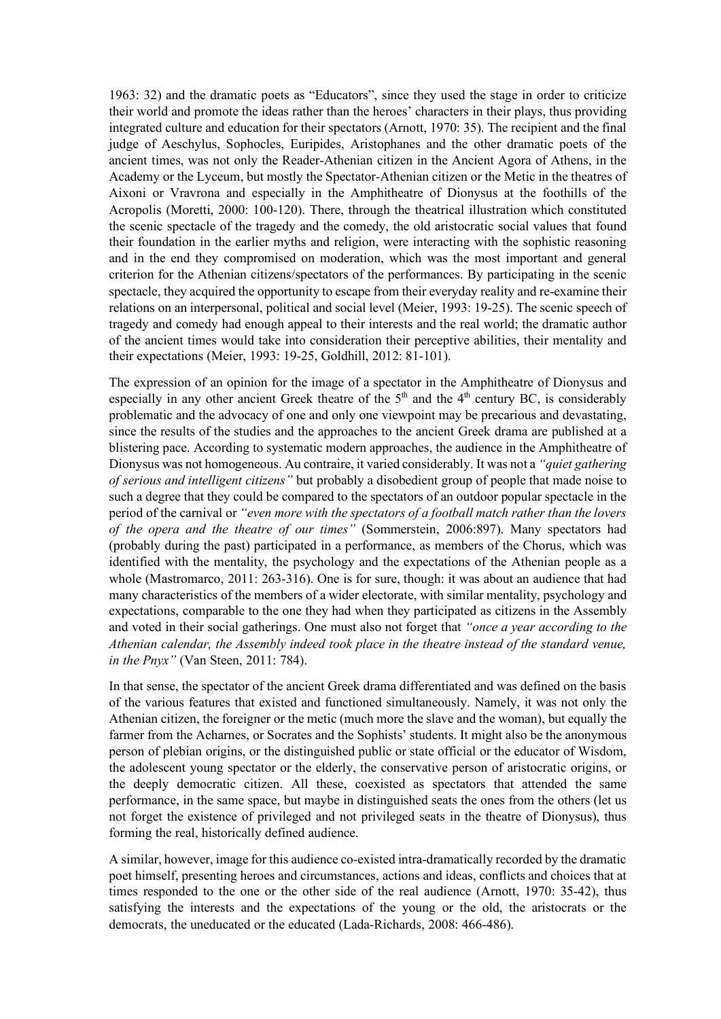1963: 32) and the dramatic poets as "Educators", since they used the stage in order to criticize their world and promote the ideas rather than the heroes' characters in their plays, thus providing integrated culture and education for their spectators (Arnott, 1970: 35). The recipient and the final judge of Aeschylus, Sophocles, Euripides, Aristophanes and the other dramatic poets of the ancient times, was not only the Reader-Athenian citizen in the Ancient Agora of Athens, in the Academy or the Lyceum, but mostly the Spectator-Athenian citizen or the Metic in the theatres of Aixoni or Vravrona and especially in the Amphitheatre of Dionysus at the foothills of the Acropolis (Moretti, 2000: 100-120). There, through the theatrical illustration which constituted the scenic spectacle of the tragedy and the comedy, the old aristocratic social values that found their foundation in the earlier myths and religion, were interacting with the sophistic reasoning and in the end they compromised on moderation, which was the most important and general criterion for the Athenian citizens/spectators of the performances. By participating in the scenic spectacle, they acquired the opportunity to escape from their everyday reality and re-examine their relations on an interpersonal, political and social level (Meier, 1993: 19-25). The scenic speech of tragedy and comedy had enough appeal to their interests and the real world; the dramatic author of the ancient times would take into consideration their perceptive abilities, their mentality and their expectations (Meier, 1993: 19-25, Goldhill, 2012: 81-101).

The expression of an opinion for the image of a spectator in the Amphitheatre of Dionysus and especially in any other ancient Greek theatre of the  $5<sup>th</sup>$  and the  $4<sup>th</sup>$  century BC, is considerably problematic and the advocacy of one and only one viewpoint may be precarious and devastating, since the results of the studies and the approaches to the ancient Greek drama are published at a blistering pace. According to systematic modern approaches, the audience in the Amphitheatre of Dionysus was not homogeneous. Au contraire, it varied considerably. It was not a *"quiet gathering of serious and intelligent citizens"* but probably a disobedient group of people that made noise to such a degree that they could be compared to the spectators of an outdoor popular spectacle in the period of the carnival or *"even more with the spectators of a football match rather than the lovers of the opera and the theatre of our times"* (Sommerstein, 2006:897). Many spectators had (probably during the past) participated in a performance, as members of the Chorus, which was identified with the mentality, the psychology and the expectations of the Athenian people as a whole (Mastromarco, 2011: 263-316). One is for sure, though: it was about an audience that had many characteristics of the members of a wider electorate, with similar mentality, psychology and expectations, comparable to the one they had when they participated as citizens in the Assembly and voted in their social gatherings. One must also not forget that *"once a year according to the Athenian calendar, the Assembly indeed took place in the theatre instead of the standard venue, in the Pnyx"* (Van Steen, 2011: 784).

In that sense, the spectator of the ancient Greek drama differentiated and was defined on the basis of the various features that existed and functioned simultaneously. Namely, it was not only the Athenian citizen, the foreigner or the metic (much more the slave and the woman), but equally the farmer from the Acharnes, or Socrates and the Sophists' students. It might also be the anonymous person of plebian origins, or the distinguished public or state official or the educator of Wisdom, the adolescent young spectator or the elderly, the conservative person of aristocratic origins, or the deeply democratic citizen. All these, coexisted as spectators that attended the same performance, in the same space, but maybe in distinguished seats the ones from the others (let us not forget the existence of privileged and not privileged seats in the theatre of Dionysus), thus forming the real, historically defined audience.

A similar, however, image for this audience co-existed intra-dramatically recorded by the dramatic poet himself, presenting heroes and circumstances, actions and ideas, conflicts and choices that at times responded to the one or the other side of the real audience (Arnott, 1970: 35-42), thus satisfying the interests and the expectations of the young or the old, the aristocrats or the democrats, the uneducated or the educated (Lada-Richards, 2008: 466-486).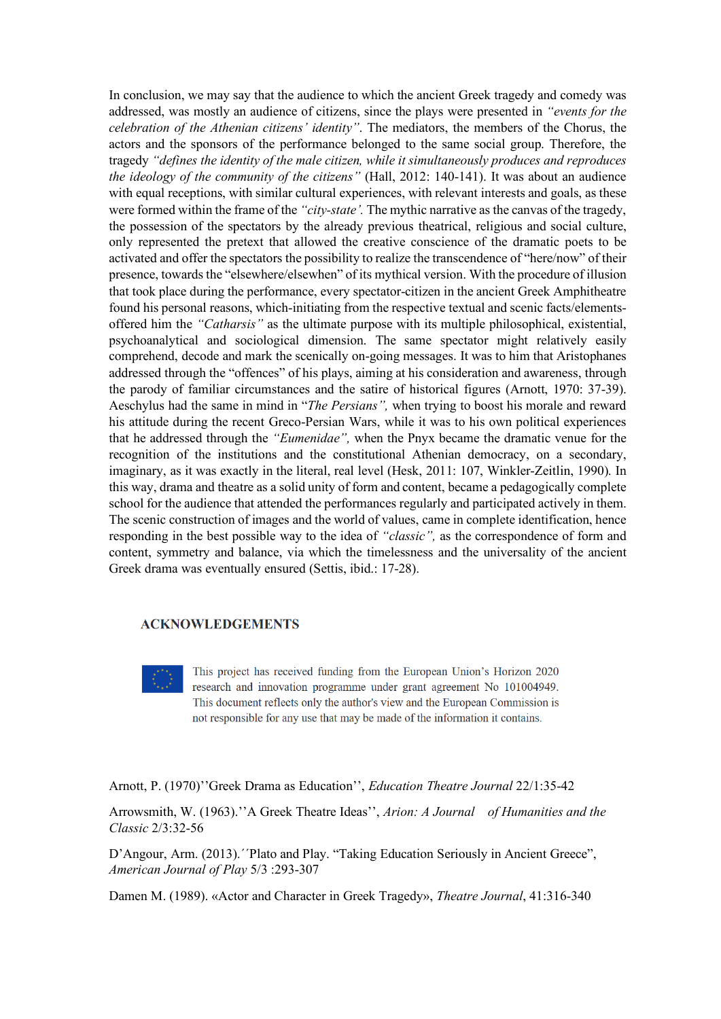In conclusion, we may say that the audience to which the ancient Greek tragedy and comedy was addressed, was mostly an audience of citizens, since the plays were presented in *"events for the celebration of the Athenian citizens' identity"*. The mediators, the members of the Chorus, the actors and the sponsors of the performance belonged to the same social group. Therefore, the tragedy *"defines the identity of the male citizen, while it simultaneously produces and reproduces the ideology of the community of the citizens"* (Hall, 2012: 140-141). It was about an audience with equal receptions, with similar cultural experiences, with relevant interests and goals, as these were formed within the frame of the *"city-state'.* The mythic narrative as the canvas of the tragedy, the possession of the spectators by the already previous theatrical, religious and social culture, only represented the pretext that allowed the creative conscience of the dramatic poets to be activated and offer the spectators the possibility to realize the transcendence of "here/now" of their presence, towards the "elsewhere/elsewhen" of its mythical version. With the procedure of illusion that took place during the performance, every spectator-citizen in the ancient Greek Amphitheatre found his personal reasons, which-initiating from the respective textual and scenic facts/elementsoffered him the *"Catharsis"* as the ultimate purpose with its multiple philosophical, existential, psychoanalytical and sociological dimension. The same spectator might relatively easily comprehend, decode and mark the scenically on-going messages. It was to him that Aristophanes addressed through the "offences" of his plays, aiming at his consideration and awareness, through the parody of familiar circumstances and the satire of historical figures (Arnott, 1970: 37-39). Aeschylus had the same in mind in "*The Persians",* when trying to boost his morale and reward his attitude during the recent Greco-Persian Wars, while it was to his own political experiences that he addressed through the *"Eumenidae",* when the Pnyx became the dramatic venue for the recognition of the institutions and the constitutional Athenian democracy, on a secondary, imaginary, as it was exactly in the literal, real level (Hesk, 2011: 107, Winkler-Zeitlin, 1990). In this way, drama and theatre as a solid unity of form and content, became a pedagogically complete school for the audience that attended the performances regularly and participated actively in them. The scenic construction of images and the world of values, came in complete identification, hence responding in the best possible way to the idea of *"classic",* as the correspondence of form and content, symmetry and balance, via which the timelessness and the universality of the ancient Greek drama was eventually ensured (Settis, ibid.: 17-28).

#### **ACKNOWLEDGEMENTS**

This project has received funding from the European Union's Horizon 2020 research and innovation programme under grant agreement No 101004949. This document reflects only the author's view and the European Commission is not responsible for any use that may be made of the information it contains.

Arnott, P. (1970)''Greek Drama as Education'', *Education Theatre Journal* 22/1:35-42

Arrowsmith, W. (1963).''A Greek Theatre Ideas'', *Arion: A Journal of Humanities and the Classic* 2/3:32-56

D'Angour, Arm. (2013).΄΄Plato and Play. "Taking Education Seriously in Ancient Greece", *American Journal of Play* 5/3 :293-307

Damen M. (1989). «Actor and Character in Greek Tragedy», *Theatre Journal*, 41:316-340